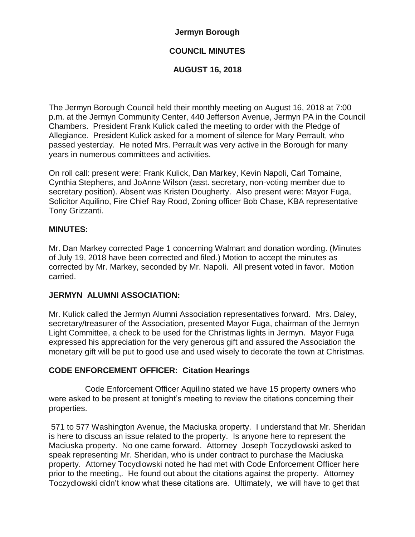## **Jermyn Borough**

# **COUNCIL MINUTES**

## **AUGUST 16, 2018**

The Jermyn Borough Council held their monthly meeting on August 16, 2018 at 7:00 p.m. at the Jermyn Community Center, 440 Jefferson Avenue, Jermyn PA in the Council Chambers. President Frank Kulick called the meeting to order with the Pledge of Allegiance. President Kulick asked for a moment of silence for Mary Perrault, who passed yesterday. He noted Mrs. Perrault was very active in the Borough for many years in numerous committees and activities.

On roll call: present were: Frank Kulick, Dan Markey, Kevin Napoli, Carl Tomaine, Cynthia Stephens, and JoAnne Wilson (asst. secretary, non-voting member due to secretary position). Absent was Kristen Dougherty. Also present were: Mayor Fuga, Solicitor Aquilino, Fire Chief Ray Rood, Zoning officer Bob Chase, KBA representative Tony Grizzanti.

## **MINUTES:**

Mr. Dan Markey corrected Page 1 concerning Walmart and donation wording. (Minutes of July 19, 2018 have been corrected and filed.) Motion to accept the minutes as corrected by Mr. Markey, seconded by Mr. Napoli. All present voted in favor. Motion carried.

## **JERMYN ALUMNI ASSOCIATION:**

Mr. Kulick called the Jermyn Alumni Association representatives forward. Mrs. Daley, secretary/treasurer of the Association, presented Mayor Fuga, chairman of the Jermyn Light Committee, a check to be used for the Christmas lights in Jermyn. Mayor Fuga expressed his appreciation for the very generous gift and assured the Association the monetary gift will be put to good use and used wisely to decorate the town at Christmas.

## **CODE ENFORCEMENT OFFICER: Citation Hearings**

Code Enforcement Officer Aquilino stated we have 15 property owners who were asked to be present at tonight's meeting to review the citations concerning their properties.

571 to 577 Washington Avenue, the Maciuska property. I understand that Mr. Sheridan is here to discuss an issue related to the property. Is anyone here to represent the Maciuska property. No one came forward. Attorney Joseph Toczydlowski asked to speak representing Mr. Sheridan, who is under contract to purchase the Maciuska property. Attorney Tocydlowski noted he had met with Code Enforcement Officer here prior to the meeting,. He found out about the citations against the property. Attorney Toczydlowski didn't know what these citations are. Ultimately, we will have to get that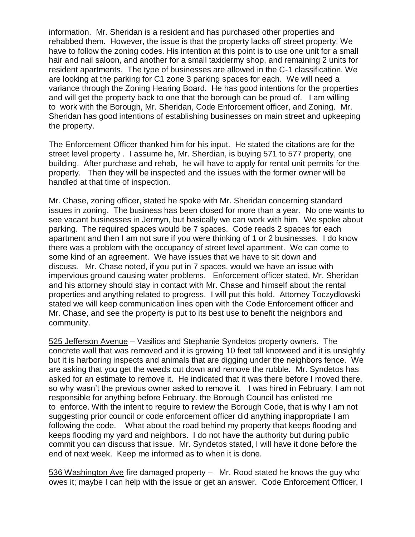information. Mr. Sheridan is a resident and has purchased other properties and rehabbed them. However, the issue is that the property lacks off street property. We have to follow the zoning codes. His intention at this point is to use one unit for a small hair and nail saloon, and another for a small taxidermy shop, and remaining 2 units for resident apartments. The type of businesses are allowed in the C-1 classification. We are looking at the parking for C1 zone 3 parking spaces for each. We will need a variance through the Zoning Hearing Board. He has good intentions for the properties and will get the property back to one that the borough can be proud of. I am willing to work with the Borough, Mr. Sheridan, Code Enforcement officer, and Zoning. Mr. Sheridan has good intentions of establishing businesses on main street and upkeeping the property.

The Enforcement Officer thanked him for his input. He stated the citations are for the street level property . I assume he, Mr. Sherdian, is buying 571 to 577 property, one building. After purchase and rehab, he will have to apply for rental unit permits for the property. Then they will be inspected and the issues with the former owner will be handled at that time of inspection.

Mr. Chase, zoning officer, stated he spoke with Mr. Sheridan concerning standard issues in zoning. The business has been closed for more than a year. No one wants to see vacant businesses in Jermyn, but basically we can work with him. We spoke about parking. The required spaces would be 7 spaces. Code reads 2 spaces for each apartment and then I am not sure if you were thinking of 1 or 2 businesses. I do know there was a problem with the occupancy of street level apartment. We can come to some kind of an agreement. We have issues that we have to sit down and discuss. Mr. Chase noted, if you put in 7 spaces, would we have an issue with impervious ground causing water problems. Enforcement officer stated, Mr. Sheridan and his attorney should stay in contact with Mr. Chase and himself about the rental properties and anything related to progress. I will put this hold. Attorney Toczydlowski stated we will keep communication lines open with the Code Enforcement officer and Mr. Chase, and see the property is put to its best use to benefit the neighbors and community.

525 Jefferson Avenue – Vasilios and Stephanie Syndetos property owners. The concrete wall that was removed and it is growing 10 feet tall knotweed and it is unsightly but it is harboring inspects and animals that are digging under the neighbors fence. We are asking that you get the weeds cut down and remove the rubble. Mr. Syndetos has asked for an estimate to remove it. He indicated that it was there before I moved there, so why wasn't the previous owner asked to remove it. I was hired in February, I am not responsible for anything before February. the Borough Council has enlisted me to enforce. With the intent to require to review the Borough Code, that is why I am not suggesting prior council or code enforcement officer did anything inappropriate I am following the code. What about the road behind my property that keeps flooding and keeps flooding my yard and neighbors. I do not have the authority but during public commit you can discuss that issue. Mr. Syndetos stated, I will have it done before the end of next week. Keep me informed as to when it is done.

536 Washington Ave fire damaged property – Mr. Rood stated he knows the guy who owes it; maybe I can help with the issue or get an answer. Code Enforcement Officer, I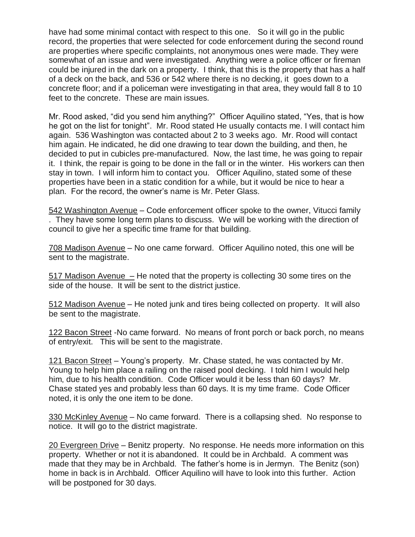have had some minimal contact with respect to this one. So it will go in the public record, the properties that were selected for code enforcement during the second round are properties where specific complaints, not anonymous ones were made. They were somewhat of an issue and were investigated. Anything were a police officer or fireman could be injured in the dark on a property. I think, that this is the property that has a half of a deck on the back, and 536 or 542 where there is no decking, it goes down to a concrete floor; and if a policeman were investigating in that area, they would fall 8 to 10 feet to the concrete. These are main issues.

Mr. Rood asked, "did you send him anything?" Officer Aquilino stated, "Yes, that is how he got on the list for tonight". Mr. Rood stated He usually contacts me. I will contact him again. 536 Washington was contacted about 2 to 3 weeks ago. Mr. Rood will contact him again. He indicated, he did one drawing to tear down the building, and then, he decided to put in cubicles pre-manufactured. Now, the last time, he was going to repair it. I think, the repair is going to be done in the fall or in the winter. His workers can then stay in town. I will inform him to contact you. Officer Aquilino, stated some of these properties have been in a static condition for a while, but it would be nice to hear a plan. For the record, the owner's name is Mr. Peter Glass.

542 Washington Avenue – Code enforcement officer spoke to the owner, Vitucci family . They have some long term plans to discuss. We will be working with the direction of council to give her a specific time frame for that building.

708 Madison Avenue – No one came forward. Officer Aquilino noted, this one will be sent to the magistrate.

517 Madison Avenue – He noted that the property is collecting 30 some tires on the side of the house. It will be sent to the district justice.

512 Madison Avenue – He noted junk and tires being collected on property. It will also be sent to the magistrate.

122 Bacon Street -No came forward. No means of front porch or back porch, no means of entry/exit. This will be sent to the magistrate.

121 Bacon Street – Young's property. Mr. Chase stated, he was contacted by Mr. Young to help him place a railing on the raised pool decking. I told him I would help him, due to his health condition. Code Officer would it be less than 60 days? Mr. Chase stated yes and probably less than 60 days. It is my time frame. Code Officer noted, it is only the one item to be done.

330 McKinley Avenue – No came forward. There is a collapsing shed. No response to notice. It will go to the district magistrate.

20 Evergreen Drive – Benitz property. No response. He needs more information on this property. Whether or not it is abandoned. It could be in Archbald. A comment was made that they may be in Archbald. The father's home is in Jermyn. The Benitz (son) home in back is in Archbald. Officer Aquilino will have to look into this further. Action will be postponed for 30 days.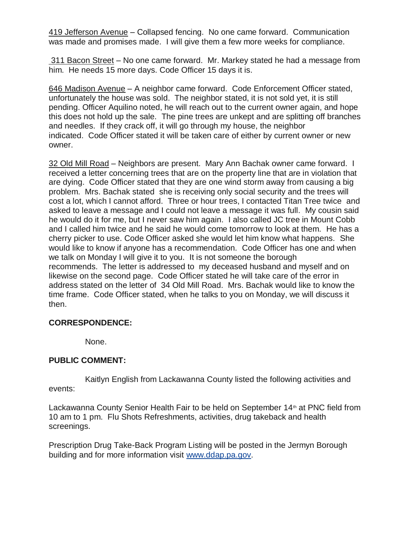419 Jefferson Avenue – Collapsed fencing. No one came forward. Communication was made and promises made. I will give them a few more weeks for compliance.

311 Bacon Street – No one came forward. Mr. Markey stated he had a message from him. He needs 15 more days. Code Officer 15 days it is.

646 Madison Avenue – A neighbor came forward. Code Enforcement Officer stated, unfortunately the house was sold. The neighbor stated, it is not sold yet, it is still pending. Officer Aquilino noted, he will reach out to the current owner again, and hope this does not hold up the sale. The pine trees are unkept and are splitting off branches and needles. If they crack off, it will go through my house, the neighbor indicated. Code Officer stated it will be taken care of either by current owner or new owner.

32 Old Mill Road – Neighbors are present. Mary Ann Bachak owner came forward. I received a letter concerning trees that are on the property line that are in violation that are dying. Code Officer stated that they are one wind storm away from causing a big problem. Mrs. Bachak stated she is receiving only social security and the trees will cost a lot, which I cannot afford. Three or hour trees, I contacted Titan Tree twice and asked to leave a message and I could not leave a message it was full. My cousin said he would do it for me, but I never saw him again. I also called JC tree in Mount Cobb and I called him twice and he said he would come tomorrow to look at them. He has a cherry picker to use. Code Officer asked she would let him know what happens. She would like to know if anyone has a recommendation. Code Officer has one and when we talk on Monday I will give it to you. It is not someone the borough recommends. The letter is addressed to my deceased husband and myself and on likewise on the second page. Code Officer stated he will take care of the error in address stated on the letter of 34 Old Mill Road. Mrs. Bachak would like to know the time frame. Code Officer stated, when he talks to you on Monday, we will discuss it then.

## **CORRESPONDENCE:**

None.

## **PUBLIC COMMENT:**

Kaitlyn English from Lackawanna County listed the following activities and events:

Lackawanna County Senior Health Fair to be held on September 14<sup>th</sup> at PNC field from 10 am to 1 pm. Flu Shots Refreshments, activities, drug takeback and health screenings.

Prescription Drug Take-Back Program Listing will be posted in the Jermyn Borough building and for more information visit [www.ddap.pa.gov.](http://www.ddap.pa.gov/)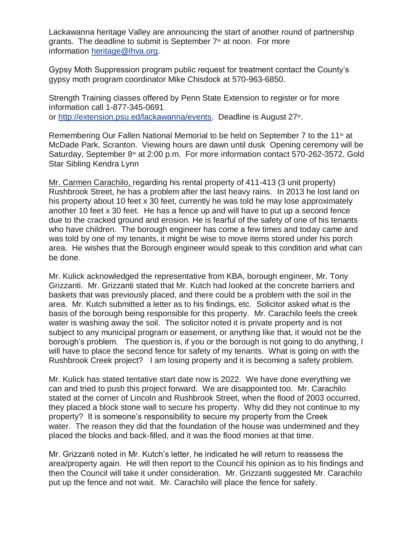Lackawanna heritage Valley are announcing the start of another round of partnership grants. The deadline to submit is September  $7<sup>th</sup>$  at noon. For more information [heritage@lhva.org.](mailto:heritage@lhva.org)

Gypsy Moth Suppression program public request for treatment contact the County's gypsy moth program coordinator Mike Chisdock at 570-963-6850.

Strength Training classes offered by Penn State Extension to register or for more information call 1-877-345-0691 or [http://extension.psu.ed/lackawanna/events.](http://extension.psu.ed/lackawanna/events) Deadline is August 27<sup>th</sup>.

Remembering Our Fallen National Memorial to be held on September 7 to the 11<sup>th</sup> at McDade Park, Scranton. Viewing hours are dawn until dusk Opening ceremony will be Saturday, September 8<sup>th</sup> at 2:00 p.m. For more information contact 570-262-3572, Gold Star Sibling Kendra Lynn

Mr. Carmen Carachilo, regarding his rental property of 411-413 (3 unit property) Rushbrook Street, he has a problem after the last heavy rains. In 2013 he lost land on his property about 10 feet x 30 feet, currently he was told he may lose approximately another 10 feet x 30 feet. He has a fence up and will have to put up a second fence due to the cracked ground and erosion. He is fearful of the safety of one of his tenants who have children. The borough engineer has come a few times and today came and was told by one of my tenants, it might be wise to move items stored under his porch area. He wishes that the Borough engineer would speak to this condition and what can be done.

Mr. Kulick acknowledged the representative from KBA, borough engineer, Mr. Tony Grizzanti. Mr. Grizzanti stated that Mr. Kutch had looked at the concrete barriers and baskets that was previously placed, and there could be a problem with the soil in the area. Mr. Kutch submitted a letter as to his findings, etc. Solicitor asked what is the basis of the borough being responsible for this property. Mr. Carachilo feels the creek water is washing away the soil. The solicitor noted it is private property and is not subject to any municipal program or easement, or anything like that, it would not be the borough's problem. The question is, if you or the borough is not going to do anything, I will have to place the second fence for safety of my tenants. What is going on with the Rushbrook Creek project? I am losing property and it is becoming a safety problem.

Mr. Kulick has stated tentative start date now is 2022. We have done everything we can and tried to push this project forward. We are disappointed too. Mr. Carachilo stated at the corner of Lincoln and Rushbrook Street, when the flood of 2003 occurred, they placed a block stone wall to secure his property. Why did they not continue to my property? It is someone's responsibility to secure my property from the Creek water. The reason they did that the foundation of the house was undermined and they placed the blocks and back-filled, and it was the flood monies at that time.

Mr. Grizzanti noted in Mr. Kutch's letter, he indicated he will return to reassess the area/property again. He will then report to the Council his opinion as to his findings and then the Council will take it under consideration. Mr. Grizzanti suggested Mr. Carachilo put up the fence and not wait. Mr. Carachilo will place the fence for safety.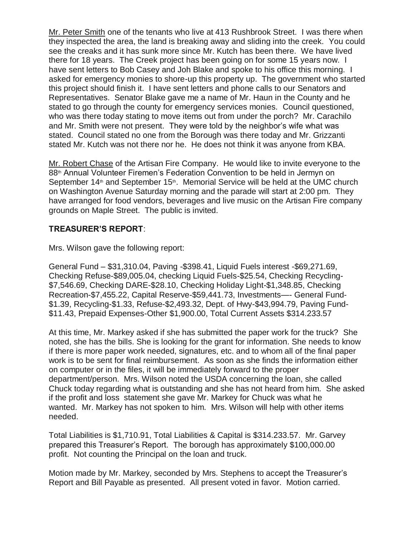Mr. Peter Smith one of the tenants who live at 413 Rushbrook Street. I was there when they inspected the area, the land is breaking away and sliding into the creek. You could see the creaks and it has sunk more since Mr. Kutch has been there. We have lived there for 18 years. The Creek project has been going on for some 15 years now. I have sent letters to Bob Casey and Joh Blake and spoke to his office this morning. I asked for emergency monies to shore-up this property up. The government who started this project should finish it. I have sent letters and phone calls to our Senators and Representatives. Senator Blake gave me a name of Mr. Haun in the County and he stated to go through the county for emergency services monies. Council questioned, who was there today stating to move items out from under the porch? Mr. Carachilo and Mr. Smith were not present. They were told by the neighbor's wife what was stated. Council stated no one from the Borough was there today and Mr. Grizzanti stated Mr. Kutch was not there nor he. He does not think it was anyone from KBA.

Mr. Robert Chase of the Artisan Fire Company. He would like to invite everyone to the 88<sup>th</sup> Annual Volunteer Firemen's Federation Convention to be held in Jermyn on September  $14<sup>th</sup>$  and September  $15<sup>th</sup>$ . Memorial Service will be held at the UMC church on Washington Avenue Saturday morning and the parade will start at 2:00 pm. They have arranged for food vendors, beverages and live music on the Artisan Fire company grounds on Maple Street. The public is invited.

## **TREASURER'S REPORT**:

Mrs. Wilson gave the following report:

General Fund – \$31,310.04, Paving -\$398.41, Liquid Fuels interest -\$69,271.69, Checking Refuse-\$89,005.04, checking Liquid Fuels-\$25.54, Checking Recycling- \$7,546.69, Checking DARE-\$28.10, Checking Holiday Light-\$1,348.85, Checking Recreation-\$7,455.22, Capital Reserve-\$59,441.73, Investments—- General Fund- \$1.39, Recycling-\$1.33, Refuse-\$2,493.32, Dept. of Hwy-\$43,994.79, Paving Fund- \$11.43, Prepaid Expenses-Other \$1,900.00, Total Current Assets \$314.233.57

At this time, Mr. Markey asked if she has submitted the paper work for the truck? She noted, she has the bills. She is looking for the grant for information. She needs to know if there is more paper work needed, signatures, etc. and to whom all of the final paper work is to be sent for final reimbursement. As soon as she finds the information either on computer or in the files, it will be immediately forward to the proper department/person. Mrs. Wilson noted the USDA concerning the loan, she called Chuck today regarding what is outstanding and she has not heard from him. She asked if the profit and loss statement she gave Mr. Markey for Chuck was what he wanted. Mr. Markey has not spoken to him. Mrs. Wilson will help with other items needed.

Total Liabilities is \$1,710.91, Total Liabilities & Capital is \$314.233.57. Mr. Garvey prepared this Treasurer's Report. The borough has approximately \$100,000.00 profit. Not counting the Principal on the loan and truck.

Motion made by Mr. Markey, seconded by Mrs. Stephens to accept the Treasurer's Report and Bill Payable as presented. All present voted in favor. Motion carried.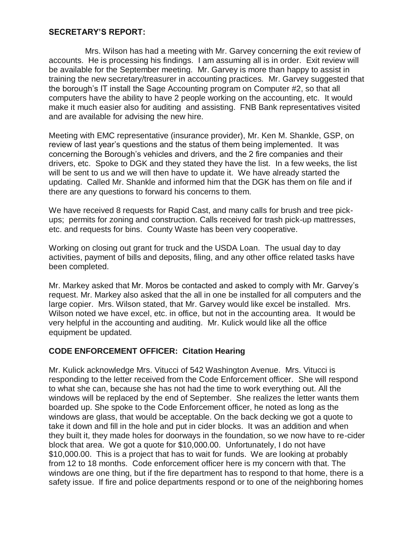### **SECRETARY'S REPORT:**

Mrs. Wilson has had a meeting with Mr. Garvey concerning the exit review of accounts. He is processing his findings. I am assuming all is in order. Exit review will be available for the September meeting. Mr. Garvey is more than happy to assist in training the new secretary/treasurer in accounting practices. Mr. Garvey suggested that the borough's IT install the Sage Accounting program on Computer #2, so that all computers have the ability to have 2 people working on the accounting, etc. It would make it much easier also for auditing and assisting. FNB Bank representatives visited and are available for advising the new hire.

Meeting with EMC representative (insurance provider), Mr. Ken M. Shankle, GSP, on review of last year's questions and the status of them being implemented. It was concerning the Borough's vehicles and drivers, and the 2 fire companies and their drivers, etc. Spoke to DGK and they stated they have the list. In a few weeks, the list will be sent to us and we will then have to update it. We have already started the updating. Called Mr. Shankle and informed him that the DGK has them on file and if there are any questions to forward his concerns to them.

We have received 8 requests for Rapid Cast, and many calls for brush and tree pickups; permits for zoning and construction. Calls received for trash pick-up mattresses, etc. and requests for bins. County Waste has been very cooperative.

Working on closing out grant for truck and the USDA Loan. The usual day to day activities, payment of bills and deposits, filing, and any other office related tasks have been completed.

Mr. Markey asked that Mr. Moros be contacted and asked to comply with Mr. Garvey's request. Mr. Markey also asked that the all in one be installed for all computers and the large copier. Mrs. Wilson stated, that Mr. Garvey would like excel be installed. Mrs. Wilson noted we have excel, etc. in office, but not in the accounting area. It would be very helpful in the accounting and auditing. Mr. Kulick would like all the office equipment be updated.

## **CODE ENFORCEMENT OFFICER: Citation Hearing**

Mr. Kulick acknowledge Mrs. Vitucci of 542 Washington Avenue. Mrs. Vitucci is responding to the letter received from the Code Enforcement officer. She will respond to what she can, because she has not had the time to work everything out. All the windows will be replaced by the end of September. She realizes the letter wants them boarded up. She spoke to the Code Enforcement officer, he noted as long as the windows are glass, that would be acceptable. On the back decking we got a quote to take it down and fill in the hole and put in cider blocks. It was an addition and when they built it, they made holes for doorways in the foundation, so we now have to re-cider block that area. We got a quote for \$10,000.00. Unfortunately, I do not have \$10,000.00. This is a project that has to wait for funds. We are looking at probably from 12 to 18 months. Code enforcement officer here is my concern with that. The windows are one thing, but if the fire department has to respond to that home, there is a safety issue. If fire and police departments respond or to one of the neighboring homes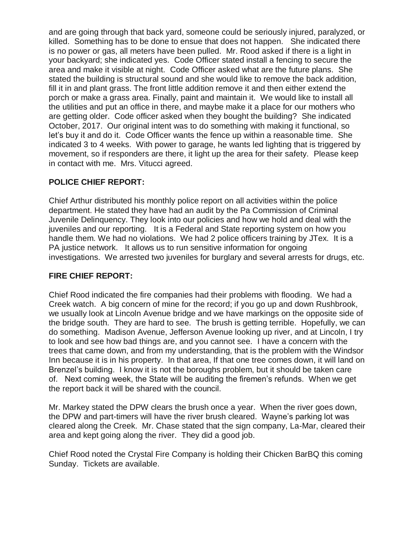and are going through that back yard, someone could be seriously injured, paralyzed, or killed. Something has to be done to ensue that does not happen. She indicated there is no power or gas, all meters have been pulled. Mr. Rood asked if there is a light in your backyard; she indicated yes. Code Officer stated install a fencing to secure the area and make it visible at night. Code Officer asked what are the future plans. She stated the building is structural sound and she would like to remove the back addition, fill it in and plant grass. The front little addition remove it and then either extend the porch or make a grass area. Finally, paint and maintain it. We would like to install all the utilities and put an office in there, and maybe make it a place for our mothers who are getting older. Code officer asked when they bought the building? She indicated October, 2017. Our original intent was to do something with making it functional, so let's buy it and do it. Code Officer wants the fence up within a reasonable time. She indicated 3 to 4 weeks. With power to garage, he wants led lighting that is triggered by movement, so if responders are there, it light up the area for their safety. Please keep in contact with me. Mrs. Vitucci agreed.

# **POLICE CHIEF REPORT:**

Chief Arthur distributed his monthly police report on all activities within the police department. He stated they have had an audit by the Pa Commission of Criminal Juvenile Delinquency. They look into our policies and how we hold and deal with the juveniles and our reporting. It is a Federal and State reporting system on how you handle them. We had no violations. We had 2 police officers training by JTex. It is a PA justice network. It allows us to run sensitive information for ongoing investigations. We arrested two juveniles for burglary and several arrests for drugs, etc.

# **FIRE CHIEF REPORT:**

Chief Rood indicated the fire companies had their problems with flooding. We had a Creek watch. A big concern of mine for the record; if you go up and down Rushbrook, we usually look at Lincoln Avenue bridge and we have markings on the opposite side of the bridge south. They are hard to see. The brush is getting terrible. Hopefully, we can do something. Madison Avenue, Jefferson Avenue looking up river, and at Lincoln, I try to look and see how bad things are, and you cannot see. I have a concern with the trees that came down, and from my understanding, that is the problem with the Windsor Inn because it is in his property. In that area, If that one tree comes down, it will land on Brenzel's building. I know it is not the boroughs problem, but it should be taken care of. Next coming week, the State will be auditing the firemen's refunds. When we get the report back it will be shared with the council.

Mr. Markey stated the DPW clears the brush once a year. When the river goes down, the DPW and part-timers will have the river brush cleared. Wayne's parking lot was cleared along the Creek. Mr. Chase stated that the sign company, La-Mar, cleared their area and kept going along the river. They did a good job.

Chief Rood noted the Crystal Fire Company is holding their Chicken BarBQ this coming Sunday. Tickets are available.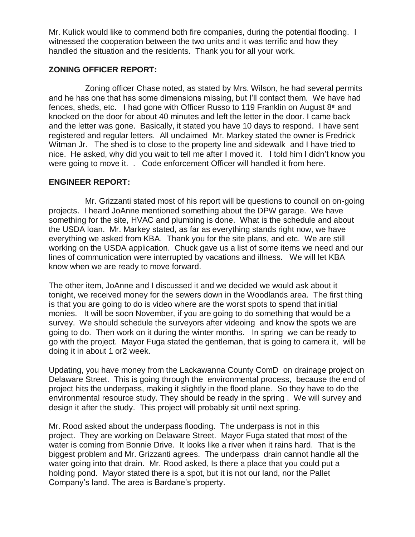Mr. Kulick would like to commend both fire companies, during the potential flooding. I witnessed the cooperation between the two units and it was terrific and how they handled the situation and the residents. Thank you for all your work.

## **ZONING OFFICER REPORT:**

Zoning officer Chase noted, as stated by Mrs. Wilson, he had several permits and he has one that has some dimensions missing, but I'll contact them. We have had fences, sheds, etc. I had gone with Officer Russo to 119 Franklin on August  $8<sup>th</sup>$  and knocked on the door for about 40 minutes and left the letter in the door. I came back and the letter was gone. Basically, it stated you have 10 days to respond. I have sent registered and regular letters. All unclaimed Mr. Markey stated the owner is Fredrick Witman Jr. The shed is to close to the property line and sidewalk and I have tried to nice. He asked, why did you wait to tell me after I moved it. I told him I didn't know you were going to move it. . Code enforcement Officer will handled it from here.

## **ENGINEER REPORT:**

Mr. Grizzanti stated most of his report will be questions to council on on-going projects. I heard JoAnne mentioned something about the DPW garage. We have something for the site, HVAC and plumbing is done. What is the schedule and about the USDA loan. Mr. Markey stated, as far as everything stands right now, we have everything we asked from KBA. Thank you for the site plans, and etc. We are still working on the USDA application. Chuck gave us a list of some items we need and our lines of communication were interrupted by vacations and illness. We will let KBA know when we are ready to move forward.

The other item, JoAnne and I discussed it and we decided we would ask about it tonight, we received money for the sewers down in the Woodlands area. The first thing is that you are going to do is video where are the worst spots to spend that initial monies. It will be soon November, if you are going to do something that would be a survey. We should schedule the surveyors after videoing and know the spots we are going to do. Then work on it during the winter months. In spring we can be ready to go with the project. Mayor Fuga stated the gentleman, that is going to camera it, will be doing it in about 1 or2 week.

Updating, you have money from the Lackawanna County ComD on drainage project on Delaware Street. This is going through the environmental process, because the end of project hits the underpass, making it slightly in the flood plane. So they have to do the environmental resource study. They should be ready in the spring . We will survey and design it after the study. This project will probably sit until next spring.

Mr. Rood asked about the underpass flooding. The underpass is not in this project. They are working on Delaware Street. Mayor Fuga stated that most of the water is coming from Bonnie Drive. It looks like a river when it rains hard. That is the biggest problem and Mr. Grizzanti agrees. The underpass drain cannot handle all the water going into that drain. Mr. Rood asked, Is there a place that you could put a holding pond. Mayor stated there is a spot, but it is not our land, nor the Pallet Company's land. The area is Bardane's property.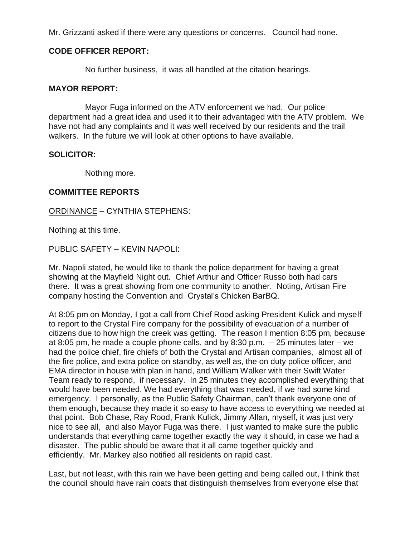Mr. Grizzanti asked if there were any questions or concerns. Council had none.

### **CODE OFFICER REPORT:**

No further business, it was all handled at the citation hearings.

#### **MAYOR REPORT:**

Mayor Fuga informed on the ATV enforcement we had. Our police department had a great idea and used it to their advantaged with the ATV problem. We have not had any complaints and it was well received by our residents and the trail walkers. In the future we will look at other options to have available.

#### **SOLICITOR:**

Nothing more.

#### **COMMITTEE REPORTS**

#### ORDINANCE – CYNTHIA STEPHENS:

Nothing at this time.

#### PUBLIC SAFETY – KEVIN NAPOLI:

Mr. Napoli stated, he would like to thank the police department for having a great showing at the Mayfield Night out. Chief Arthur and Officer Russo both had cars there. It was a great showing from one community to another. Noting, Artisan Fire company hosting the Convention and Crystal's Chicken BarBQ.

At 8:05 pm on Monday, I got a call from Chief Rood asking President Kulick and myself to report to the Crystal Fire company for the possibility of evacuation of a number of citizens due to how high the creek was getting. The reason I mention 8:05 pm, because at 8:05 pm, he made a couple phone calls, and by 8:30 p.m.  $-25$  minutes later – we had the police chief, fire chiefs of both the Crystal and Artisan companies, almost all of the fire police, and extra police on standby, as well as, the on duty police officer, and EMA director in house with plan in hand, and William Walker with their Swift Water Team ready to respond, if necessary. In 25 minutes they accomplished everything that would have been needed. We had everything that was needed, if we had some kind emergency. I personally, as the Public Safety Chairman, can't thank everyone one of them enough, because they made it so easy to have access to everything we needed at that point. Bob Chase, Ray Rood, Frank Kulick, Jimmy Allan, myself, it was just very nice to see all, and also Mayor Fuga was there. I just wanted to make sure the public understands that everything came together exactly the way it should, in case we had a disaster. The public should be aware that it all came together quickly and efficiently. Mr. Markey also notified all residents on rapid cast.

Last, but not least, with this rain we have been getting and being called out, I think that the council should have rain coats that distinguish themselves from everyone else that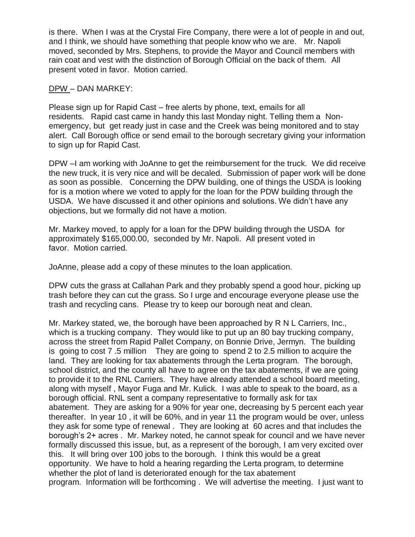is there. When I was at the Crystal Fire Company, there were a lot of people in and out, and I think, we should have something that people know who we are. Mr. Napoli moved, seconded by Mrs. Stephens, to provide the Mayor and Council members with rain coat and vest with the distinction of Borough Official on the back of them. All present voted in favor. Motion carried.

### DPW – DAN MARKEY:

Please sign up for Rapid Cast – free alerts by phone, text, emails for all residents. Rapid cast came in handy this last Monday night. Telling them a Nonemergency, but get ready just in case and the Creek was being monitored and to stay alert. Call Borough office or send email to the borough secretary giving your information to sign up for Rapid Cast.

DPW –I am working with JoAnne to get the reimbursement for the truck. We did receive the new truck, it is very nice and will be decaled. Submission of paper work will be done as soon as possible. Concerning the DPW building, one of things the USDA is looking for is a motion where we voted to apply for the loan for the PDW building through the USDA. We have discussed it and other opinions and solutions. We didn't have any objections, but we formally did not have a motion.

Mr. Markey moved, to apply for a loan for the DPW building through the USDA for approximately \$165,000.00, seconded by Mr. Napoli. All present voted in favor. Motion carried.

JoAnne, please add a copy of these minutes to the loan application.

DPW cuts the grass at Callahan Park and they probably spend a good hour, picking up trash before they can cut the grass. So I urge and encourage everyone please use the trash and recycling cans. Please try to keep our borough neat and clean.

Mr. Markey stated, we, the borough have been approached by R N L Carriers, Inc., which is a trucking company. They would like to put up an 80 bay trucking company, across the street from Rapid Pallet Company, on Bonnie Drive, Jermyn. The building is going to cost 7 .5 million They are going to spend 2 to 2.5 million to acquire the land. They are looking for tax abatements through the Lerta program. The borough, school district, and the county all have to agree on the tax abatements, if we are going to provide it to the RNL Carriers. They have already attended a school board meeting, along with myself , Mayor Fuga and Mr. Kulick. I was able to speak to the board, as a borough official. RNL sent a company representative to formally ask for tax abatement. They are asking for a 90% for year one, decreasing by 5 percent each year thereafter. In year 10 , it will be 60%, and in year 11 the program would be over, unless they ask for some type of renewal . They are looking at 60 acres and that includes the borough's 2+ acres . Mr. Markey noted, he cannot speak for council and we have never formally discussed this issue, but, as a represent of the borough, I am very excited over this. It will bring over 100 jobs to the borough. I think this would be a great opportunity. We have to hold a hearing regarding the Lerta program, to determine whether the plot of land is deteriorated enough for the tax abatement program. Information will be forthcoming . We will advertise the meeting. I just want to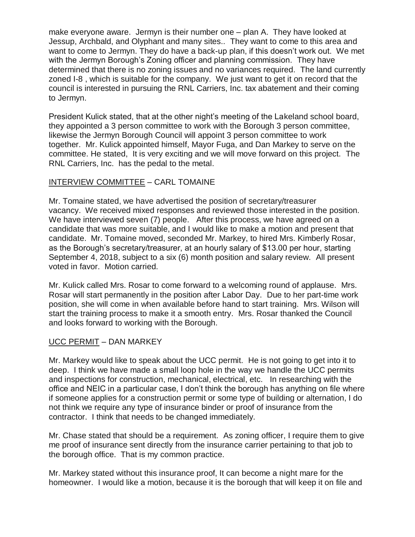make everyone aware. Jermyn is their number one – plan A. They have looked at Jessup, Archbald, and Olyphant and many sites.. They want to come to this area and want to come to Jermyn. They do have a back-up plan, if this doesn't work out. We met with the Jermyn Borough's Zoning officer and planning commission. They have determined that there is no zoning issues and no variances required. The land currently zoned I-8 , which is suitable for the company. We just want to get it on record that the council is interested in pursuing the RNL Carriers, Inc. tax abatement and their coming to Jermyn.

President Kulick stated, that at the other night's meeting of the Lakeland school board, they appointed a 3 person committee to work with the Borough 3 person committee, likewise the Jermyn Borough Council will appoint 3 person committee to work together. Mr. Kulick appointed himself, Mayor Fuga, and Dan Markey to serve on the committee. He stated, It is very exciting and we will move forward on this project. The RNL Carriers, Inc. has the pedal to the metal.

# INTERVIEW COMMITTEE – CARL TOMAINE

Mr. Tomaine stated, we have advertised the position of secretary/treasurer vacancy. We received mixed responses and reviewed those interested in the position. We have interviewed seven (7) people. After this process, we have agreed on a candidate that was more suitable, and I would like to make a motion and present that candidate. Mr. Tomaine moved, seconded Mr. Markey, to hired Mrs. Kimberly Rosar, as the Borough's secretary/treasurer, at an hourly salary of \$13.00 per hour, starting September 4, 2018, subject to a six (6) month position and salary review. All present voted in favor. Motion carried.

Mr. Kulick called Mrs. Rosar to come forward to a welcoming round of applause. Mrs. Rosar will start permanently in the position after Labor Day. Due to her part-time work position, she will come in when available before hand to start training. Mrs. Wilson will start the training process to make it a smooth entry. Mrs. Rosar thanked the Council and looks forward to working with the Borough.

## UCC PERMIT – DAN MARKEY

Mr. Markey would like to speak about the UCC permit. He is not going to get into it to deep. I think we have made a small loop hole in the way we handle the UCC permits and inspections for construction, mechanical, electrical, etc. In researching with the office and NEIC in a particular case, I don't think the borough has anything on file where if someone applies for a construction permit or some type of building or alternation, I do not think we require any type of insurance binder or proof of insurance from the contractor. I think that needs to be changed immediately.

Mr. Chase stated that should be a requirement. As zoning officer, I require them to give me proof of insurance sent directly from the insurance carrier pertaining to that job to the borough office. That is my common practice.

Mr. Markey stated without this insurance proof, It can become a night mare for the homeowner. I would like a motion, because it is the borough that will keep it on file and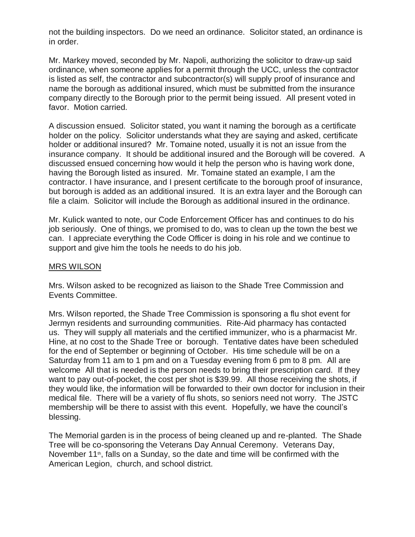not the building inspectors. Do we need an ordinance. Solicitor stated, an ordinance is in order.

Mr. Markey moved, seconded by Mr. Napoli, authorizing the solicitor to draw-up said ordinance, when someone applies for a permit through the UCC, unless the contractor is listed as self, the contractor and subcontractor(s) will supply proof of insurance and name the borough as additional insured, which must be submitted from the insurance company directly to the Borough prior to the permit being issued. All present voted in favor. Motion carried.

A discussion ensued. Solicitor stated, you want it naming the borough as a certificate holder on the policy. Solicitor understands what they are saying and asked, certificate holder or additional insured? Mr. Tomaine noted, usually it is not an issue from the insurance company. It should be additional insured and the Borough will be covered. A discussed ensued concerning how would it help the person who is having work done, having the Borough listed as insured. Mr. Tomaine stated an example, I am the contractor. I have insurance, and I present certificate to the borough proof of insurance, but borough is added as an additional insured. It is an extra layer and the Borough can file a claim. Solicitor will include the Borough as additional insured in the ordinance.

Mr. Kulick wanted to note, our Code Enforcement Officer has and continues to do his job seriously. One of things, we promised to do, was to clean up the town the best we can. I appreciate everything the Code Officer is doing in his role and we continue to support and give him the tools he needs to do his job.

#### MRS WILSON

Mrs. Wilson asked to be recognized as liaison to the Shade Tree Commission and Events Committee.

Mrs. Wilson reported, the Shade Tree Commission is sponsoring a flu shot event for Jermyn residents and surrounding communities. Rite-Aid pharmacy has contacted us. They will supply all materials and the certified immunizer, who is a pharmacist Mr. Hine, at no cost to the Shade Tree or borough. Tentative dates have been scheduled for the end of September or beginning of October. His time schedule will be on a Saturday from 11 am to 1 pm and on a Tuesday evening from 6 pm to 8 pm. All are welcome All that is needed is the person needs to bring their prescription card. If they want to pay out-of-pocket, the cost per shot is \$39.99. All those receiving the shots, if they would like, the information will be forwarded to their own doctor for inclusion in their medical file. There will be a variety of flu shots, so seniors need not worry. The JSTC membership will be there to assist with this event. Hopefully, we have the council's blessing.

The Memorial garden is in the process of being cleaned up and re-planted. The Shade Tree will be co-sponsoring the Veterans Day Annual Ceremony. Veterans Day, November 11<sup>th</sup>, falls on a Sunday, so the date and time will be confirmed with the American Legion, church, and school district.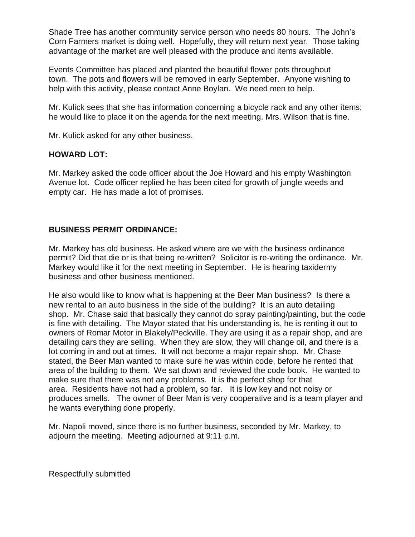Shade Tree has another community service person who needs 80 hours. The John's Corn Farmers market is doing well. Hopefully, they will return next year. Those taking advantage of the market are well pleased with the produce and items available.

Events Committee has placed and planted the beautiful flower pots throughout town. The pots and flowers will be removed in early September. Anyone wishing to help with this activity, please contact Anne Boylan. We need men to help.

Mr. Kulick sees that she has information concerning a bicycle rack and any other items; he would like to place it on the agenda for the next meeting. Mrs. Wilson that is fine.

Mr. Kulick asked for any other business.

# **HOWARD LOT:**

Mr. Markey asked the code officer about the Joe Howard and his empty Washington Avenue lot. Code officer replied he has been cited for growth of jungle weeds and empty car. He has made a lot of promises.

# **BUSINESS PERMIT ORDINANCE:**

Mr. Markey has old business. He asked where are we with the business ordinance permit? Did that die or is that being re-written? Solicitor is re-writing the ordinance. Mr. Markey would like it for the next meeting in September. He is hearing taxidermy business and other business mentioned.

He also would like to know what is happening at the Beer Man business? Is there a new rental to an auto business in the side of the building? It is an auto detailing shop. Mr. Chase said that basically they cannot do spray painting/painting, but the code is fine with detailing. The Mayor stated that his understanding is, he is renting it out to owners of Romar Motor in Blakely/Peckville. They are using it as a repair shop, and are detailing cars they are selling. When they are slow, they will change oil, and there is a lot coming in and out at times. It will not become a major repair shop. Mr. Chase stated, the Beer Man wanted to make sure he was within code, before he rented that area of the building to them. We sat down and reviewed the code book. He wanted to make sure that there was not any problems. It is the perfect shop for that area. Residents have not had a problem, so far. It is low key and not noisy or produces smells. The owner of Beer Man is very cooperative and is a team player and he wants everything done properly.

Mr. Napoli moved, since there is no further business, seconded by Mr. Markey, to adjourn the meeting. Meeting adjourned at 9:11 p.m.

Respectfully submitted